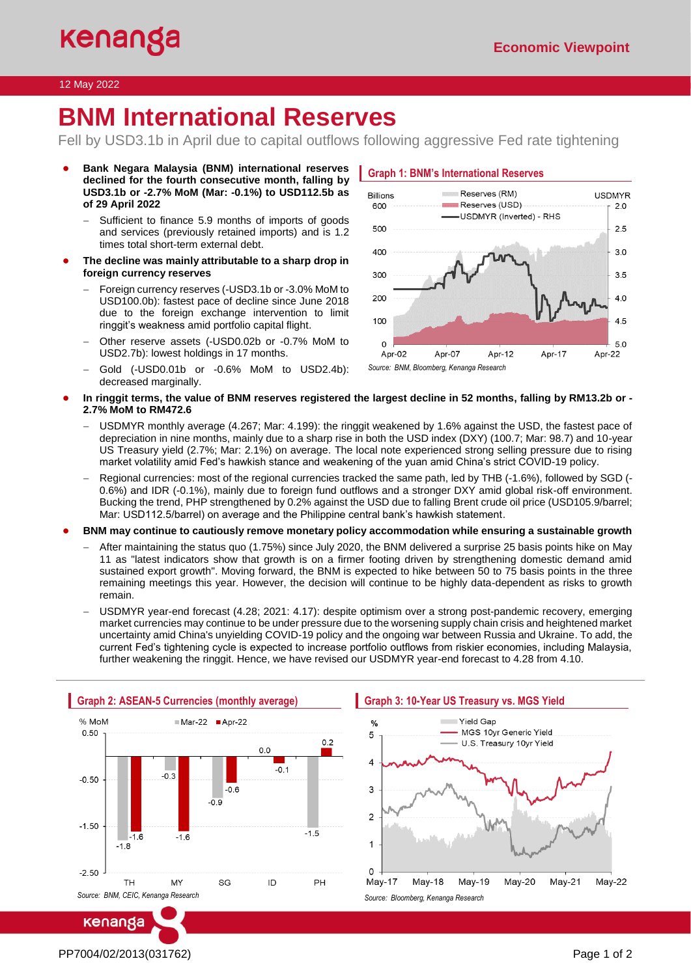## 12 May 2022

# **BNM International Reserves**

Fell by USD3.1b in April due to capital outflows following aggressive Fed rate tightening

- **Bank Negara Malaysia (BNM) international reserves declined for the fourth consecutive month, falling by USD3.1b or -2.7% MoM (Mar: -0.1%) to USD112.5b as of 29 April 2022**
	- Sufficient to finance 5.9 months of imports of goods and services (previously retained imports) and is 1.2 times total short-term external debt.
- The decline was mainly attributable to a sharp drop in **foreign currency reserves**
	- − Foreign currency reserves (-USD3.1b or -3.0% MoM to USD100.0b): fastest pace of decline since June 2018 due to the foreign exchange intervention to limit ringgit's weakness amid portfolio capital flight.
	- − Other reserve assets (-USD0.02b or -0.7% MoM to USD2.7b): lowest holdings in 17 months.
	- − Gold (-USD0.01b or -0.6% MoM to USD2.4b): decreased marginally.





## ● **In ringgit terms, the value of BNM reserves registered the largest decline in 52 months, falling by RM13.2b or - 2.7% MoM to RM472.6**

- USDMYR monthly average (4.267; Mar: 4.199): the ringgit weakened by 1.6% against the USD, the fastest pace of depreciation in nine months, mainly due to a sharp rise in both the USD index (DXY) (100.7; Mar: 98.7) and 10-year US Treasury yield (2.7%; Mar: 2.1%) on average. The local note experienced strong selling pressure due to rising market volatility amid Fed's hawkish stance and weakening of the yuan amid China's strict COVID-19 policy.
- − Regional currencies: most of the regional currencies tracked the same path, led by THB (-1.6%), followed by SGD (- 0.6%) and IDR (-0.1%), mainly due to foreign fund outflows and a stronger DXY amid global risk-off environment. Bucking the trend, PHP strengthened by 0.2% against the USD due to falling Brent crude oil price (USD105.9/barrel; Mar: USD112.5/barrel) on average and the Philippine central bank's hawkish statement.

● **BNM may continue to cautiously remove monetary policy accommodation while ensuring a sustainable growth**

- − After maintaining the status quo (1.75%) since July 2020, the BNM delivered a surprise 25 basis points hike on May 11 as "latest indicators show that growth is on a firmer footing driven by strengthening domestic demand amid sustained export growth". Moving forward, the BNM is expected to hike between 50 to 75 basis points in the three remaining meetings this year. However, the decision will continue to be highly data-dependent as risks to growth remain.
- − USDMYR year-end forecast (4.28; 2021: 4.17): despite optimism over a strong post-pandemic recovery, emerging market currencies may continue to be under pressure due to the worsening supply chain crisis and heightened market uncertainty amid China's unyielding COVID-19 policy and the ongoing war between Russia and Ukraine. To add, the current Fed's tightening cycle is expected to increase portfolio outflows from riskier economies, including Malaysia, further weakening the ringgit. Hence, we have revised our USDMYR year-end forecast to 4.28 from 4.10.